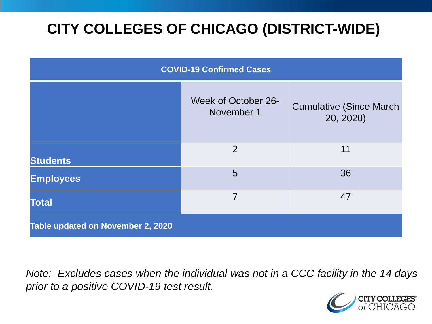# **CITY COLLEGES OF CHICAGO (DISTRICT-WIDE)**

| <b>COVID-19 Confirmed Cases</b>   |                                   |                                              |
|-----------------------------------|-----------------------------------|----------------------------------------------|
|                                   | Week of October 26-<br>November 1 | <b>Cumulative (Since March)</b><br>20, 2020) |
| <b>Students</b>                   | 2                                 | 11                                           |
| <b>Employees</b>                  | 5                                 | 36                                           |
| <b>Total</b>                      | 7                                 | 47                                           |
| Table updated on November 2, 2020 |                                   |                                              |

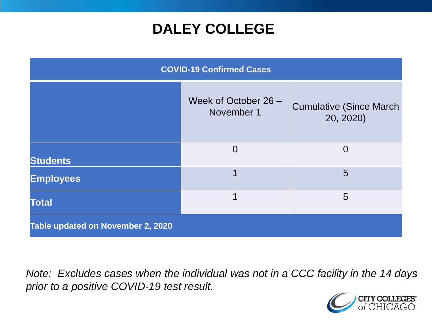### **DALEY COLLEGE**

| <b>COVID-19 Confirmed Cases</b>   |                                    |                                              |
|-----------------------------------|------------------------------------|----------------------------------------------|
|                                   | Week of October 26 -<br>November 1 | <b>Cumulative (Since March)</b><br>20, 2020) |
| <b>Students</b>                   | $\Omega$                           | $\Omega$                                     |
| <b>Employees</b>                  | 1                                  | 5                                            |
| <b>Total</b>                      | 1                                  | 5                                            |
| Table updated on November 2, 2020 |                                    |                                              |

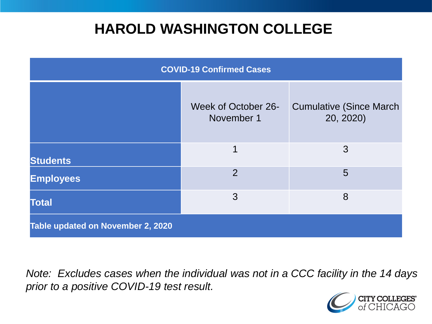### **HAROLD WASHINGTON COLLEGE**

| <b>COVID-19 Confirmed Cases</b>   |                                   |                                              |
|-----------------------------------|-----------------------------------|----------------------------------------------|
|                                   | Week of October 26-<br>November 1 | <b>Cumulative (Since March)</b><br>20, 2020) |
| <b>Students</b>                   | 1                                 | 3                                            |
| <b>Employees</b>                  | $\overline{2}$                    | 5                                            |
| <b>Total</b>                      | 3                                 | 8                                            |
| Table updated on November 2, 2020 |                                   |                                              |

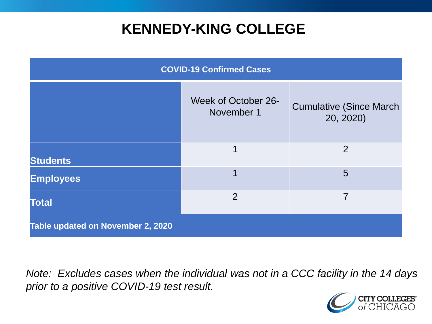### **KENNEDY-KING COLLEGE**

| <b>COVID-19 Confirmed Cases</b>   |                                          |                                              |
|-----------------------------------|------------------------------------------|----------------------------------------------|
|                                   | <b>Week of October 26-</b><br>November 1 | <b>Cumulative (Since March)</b><br>20, 2020) |
| <b>Students</b>                   | 1                                        | $\overline{2}$                               |
| <b>Employees</b>                  |                                          | 5                                            |
| <b>Total</b>                      | $\overline{2}$                           | 7                                            |
| Table updated on November 2, 2020 |                                          |                                              |

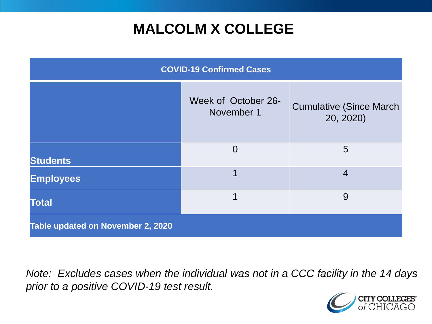## **MALCOLM X COLLEGE**

| <b>COVID-19 Confirmed Cases</b>   |                                   |                                              |
|-----------------------------------|-----------------------------------|----------------------------------------------|
|                                   | Week of October 26-<br>November 1 | <b>Cumulative (Since March)</b><br>20, 2020) |
| <b>Students</b>                   | $\Omega$                          | 5                                            |
| <b>Employees</b>                  | 1                                 | $\overline{4}$                               |
| <b>Total</b>                      | 1                                 | 9                                            |
| Table updated on November 2, 2020 |                                   |                                              |

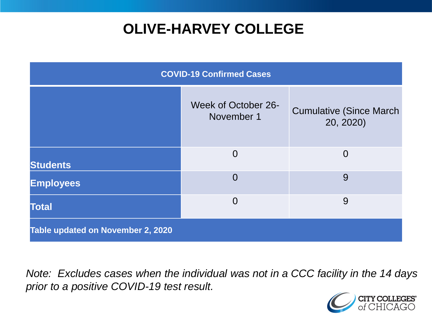## **OLIVE-HARVEY COLLEGE**

| <b>COVID-19 Confirmed Cases</b>   |                                   |                                              |
|-----------------------------------|-----------------------------------|----------------------------------------------|
|                                   | Week of October 26-<br>November 1 | <b>Cumulative (Since March)</b><br>20, 2020) |
| <b>Students</b>                   | $\Omega$                          | $\Omega$                                     |
| <b>Employees</b>                  | $\overline{0}$                    | 9                                            |
| <b>Total</b>                      | $\overline{0}$                    | 9                                            |
| Table updated on November 2, 2020 |                                   |                                              |

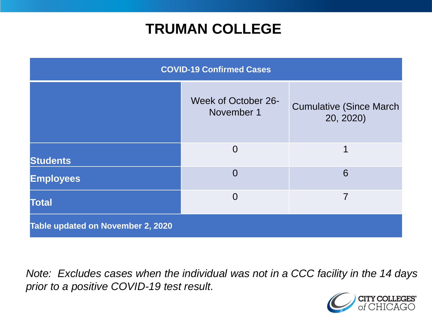### **TRUMAN COLLEGE**

| <b>COVID-19 Confirmed Cases</b>   |                                   |                                              |
|-----------------------------------|-----------------------------------|----------------------------------------------|
|                                   | Week of October 26-<br>November 1 | <b>Cumulative (Since March)</b><br>20, 2020) |
| <b>Students</b>                   | $\overline{0}$                    | 1                                            |
| <b>Employees</b>                  | $\overline{0}$                    | 6                                            |
| <b>Total</b>                      | $\Omega$                          | 7                                            |
| Table updated on November 2, 2020 |                                   |                                              |